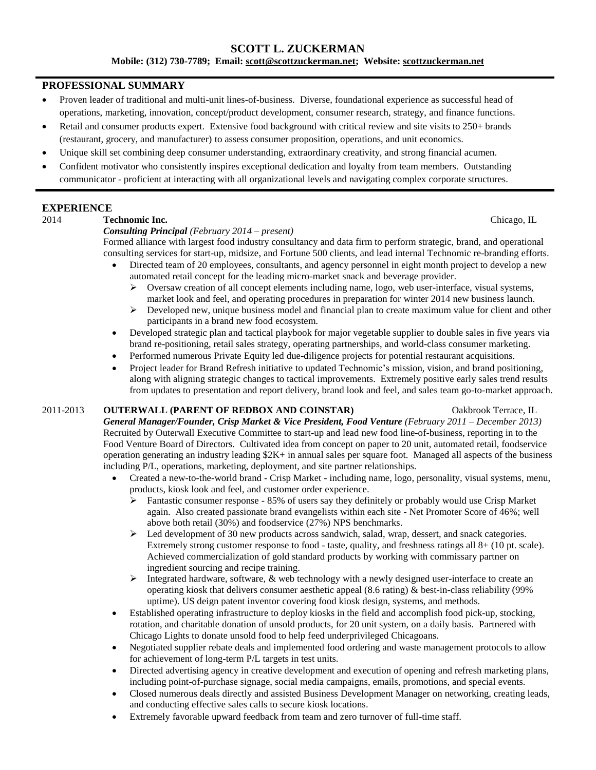# **SCOTT L. ZUCKERMAN**

**Mobile: (312) 730-7789; Email: [scott@scottzuckerman.net;](mailto:scott@scottzuckerman.net) Website: [scottzuckerman.net](http://scottzuckerman.net/)**

### **PROFESSIONAL SUMMARY**

- Proven leader of traditional and multi-unit lines-of-business. Diverse, foundational experience as successful head of operations, marketing, innovation, concept/product development, consumer research, strategy, and finance functions.
- Retail and consumer products expert. Extensive food background with critical review and site visits to 250+ brands (restaurant, grocery, and manufacturer) to assess consumer proposition, operations, and unit economics.
- Unique skill set combining deep consumer understanding, extraordinary creativity, and strong financial acumen.
- Confident motivator who consistently inspires exceptional dedication and loyalty from team members. Outstanding communicator - proficient at interacting with all organizational levels and navigating complex corporate structures.

# **EXPERIENCE**

# 2014 **Technomic Inc.** Chicago, IL

### *Consulting Principal (February 2014 – present)*

Formed alliance with largest food industry consultancy and data firm to perform strategic, brand, and operational consulting services for start-up, midsize, and Fortune 500 clients, and lead internal Technomic re-branding efforts.

- Directed team of 20 employees, consultants, and agency personnel in eight month project to develop a new automated retail concept for the leading micro-market snack and beverage provider.
	- $\triangleright$  Oversaw creation of all concept elements including name, logo, web user-interface, visual systems, market look and feel, and operating procedures in preparation for winter 2014 new business launch.
	- $\triangleright$  Developed new, unique business model and financial plan to create maximum value for client and other participants in a brand new food ecosystem.
- Developed strategic plan and tactical playbook for major vegetable supplier to double sales in five years via brand re-positioning, retail sales strategy, operating partnerships, and world-class consumer marketing.
- Performed numerous Private Equity led due-diligence projects for potential restaurant acquisitions.
- Project leader for Brand Refresh initiative to updated Technomic's mission, vision, and brand positioning, along with aligning strategic changes to tactical improvements. Extremely positive early sales trend results from updates to presentation and report delivery, brand look and feel, and sales team go-to-market approach.

### 2011-2013 **OUTERWALL (PARENT OF REDBOX AND COINSTAR)** Oakbrook Terrace, IL

*General Manager/Founder, Crisp Market & Vice President, Food Venture (February 2011 – December 2013)* Recruited by Outerwall Executive Committee to start-up and lead new food line-of-business, reporting in to the Food Venture Board of Directors. Cultivated idea from concept on paper to 20 unit, automated retail, foodservice operation generating an industry leading \$2K+ in annual sales per square foot. Managed all aspects of the business including P/L, operations, marketing, deployment, and site partner relationships.

- Created a new-to-the-world brand Crisp Market including name, logo, personality, visual systems, menu, products, kiosk look and feel, and customer order experience.
	- $\triangleright$  Fantastic consumer response 85% of users say they definitely or probably would use Crisp Market again. Also created passionate brand evangelists within each site - Net Promoter Score of 46%; well above both retail (30%) and foodservice (27%) NPS benchmarks.
	- $\triangleright$  Led development of 30 new products across sandwich, salad, wrap, dessert, and snack categories. Extremely strong customer response to food - taste, quality, and freshness ratings all 8+ (10 pt. scale). Achieved commercialization of gold standard products by working with commissary partner on ingredient sourcing and recipe training.
	- $\triangleright$  Integrated hardware, software, & web technology with a newly designed user-interface to create an operating kiosk that delivers consumer aesthetic appeal  $(8.6 \text{ rating})$  & best-in-class reliability (99%) uptime). US deign patent inventor covering food kiosk design, systems, and methods.
- Established operating infrastructure to deploy kiosks in the field and accomplish food pick-up, stocking, rotation, and charitable donation of unsold products, for 20 unit system, on a daily basis. Partnered with Chicago Lights to donate unsold food to help feed underprivileged Chicagoans.
- Negotiated supplier rebate deals and implemented food ordering and waste management protocols to allow for achievement of long-term P/L targets in test units.
- Directed advertising agency in creative development and execution of opening and refresh marketing plans, including point-of-purchase signage, social media campaigns, emails, promotions, and special events.
- Closed numerous deals directly and assisted Business Development Manager on networking, creating leads, and conducting effective sales calls to secure kiosk locations.
- Extremely favorable upward feedback from team and zero turnover of full-time staff.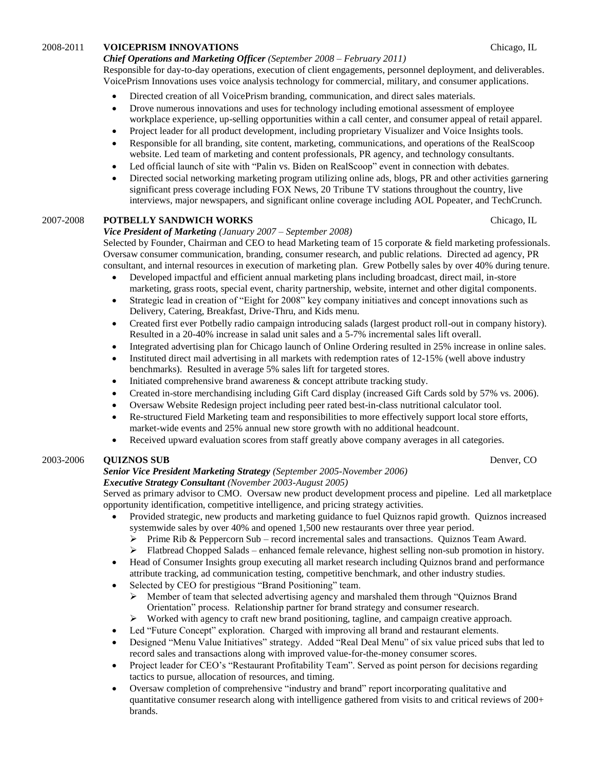### 2008-2011 **VOICEPRISM INNOVATIONS** Chicago, IL

#### *Chief Operations and Marketing Officer (September 2008 – February 2011)*

Responsible for day-to-day operations, execution of client engagements, personnel deployment, and deliverables. VoicePrism Innovations uses voice analysis technology for commercial, military, and consumer applications.

- Directed creation of all VoicePrism branding, communication, and direct sales materials.
- Drove numerous innovations and uses for technology including emotional assessment of employee workplace experience, up-selling opportunities within a call center, and consumer appeal of retail apparel.
- Project leader for all product development, including proprietary Visualizer and Voice Insights tools.
- Responsible for all branding, site content, marketing, communications, and operations of the RealScoop website. Led team of marketing and content professionals, PR agency, and technology consultants.
- Led official launch of site with "Palin vs. Biden on RealScoop" event in connection with debates.
- Directed social networking marketing program utilizing online ads, blogs, PR and other activities garnering significant press coverage including FOX News, 20 Tribune TV stations throughout the country, live interviews, major newspapers, and significant online coverage including AOL Popeater, and TechCrunch.

### 2007-2008 **POTBELLY SANDWICH WORKS** Chicago, IL

#### *Vice President of Marketing (January 2007 – September 2008)*

Selected by Founder, Chairman and CEO to head Marketing team of 15 corporate & field marketing professionals. Oversaw consumer communication, branding, consumer research, and public relations. Directed ad agency, PR consultant, and internal resources in execution of marketing plan. Grew Potbelly sales by over 40% during tenure.

- Developed impactful and efficient annual marketing plans including broadcast, direct mail, in-store marketing, grass roots, special event, charity partnership, website, internet and other digital components.
- Strategic lead in creation of "Eight for 2008" key company initiatives and concept innovations such as Delivery, Catering, Breakfast, Drive-Thru, and Kids menu.
- Created first ever Potbelly radio campaign introducing salads (largest product roll-out in company history). Resulted in a 20-40% increase in salad unit sales and a 5-7% incremental sales lift overall.
- Integrated advertising plan for Chicago launch of Online Ordering resulted in 25% increase in online sales.
- Instituted direct mail advertising in all markets with redemption rates of 12-15% (well above industry benchmarks). Resulted in average 5% sales lift for targeted stores.
- Initiated comprehensive brand awareness & concept attribute tracking study.
- Created in-store merchandising including Gift Card display (increased Gift Cards sold by 57% vs. 2006).
- Oversaw Website Redesign project including peer rated best-in-class nutritional calculator tool.
- Re-structured Field Marketing team and responsibilities to more effectively support local store efforts, market-wide events and 25% annual new store growth with no additional headcount.
- Received upward evaluation scores from staff greatly above company averages in all categories.

# 2003-2006 **QUIZNOS SUB** Denver, CO

# *Senior Vice President Marketing Strategy (September 2005-November 2006)*

*Executive Strategy Consultant (November 2003-August 2005)*

Served as primary advisor to CMO. Oversaw new product development process and pipeline. Led all marketplace opportunity identification, competitive intelligence, and pricing strategy activities.

- Provided strategic, new products and marketing guidance to fuel Quiznos rapid growth. Quiznos increased systemwide sales by over 40% and opened 1,500 new restaurants over three year period.
	- $\triangleright$  Prime Rib & Peppercorn Sub record incremental sales and transactions. Quiznos Team Award.
	- $\triangleright$  Flatbread Chopped Salads enhanced female relevance, highest selling non-sub promotion in history.
- Head of Consumer Insights group executing all market research including Quiznos brand and performance attribute tracking, ad communication testing, competitive benchmark, and other industry studies.
- Selected by CEO for prestigious "Brand Positioning" team.
	- $\triangleright$  Member of team that selected advertising agency and marshaled them through "Quiznos Brand" Orientation" process. Relationship partner for brand strategy and consumer research.
	- $\triangleright$  Worked with agency to craft new brand positioning, tagline, and campaign creative approach.
- Led "Future Concept" exploration. Charged with improving all brand and restaurant elements.
- Designed "Menu Value Initiatives" strategy. Added "Real Deal Menu" of six value priced subs that led to record sales and transactions along with improved value-for-the-money consumer scores.
- Project leader for CEO's "Restaurant Profitability Team". Served as point person for decisions regarding tactics to pursue, allocation of resources, and timing.
- Oversaw completion of comprehensive "industry and brand" report incorporating qualitative and quantitative consumer research along with intelligence gathered from visits to and critical reviews of 200+ brands.